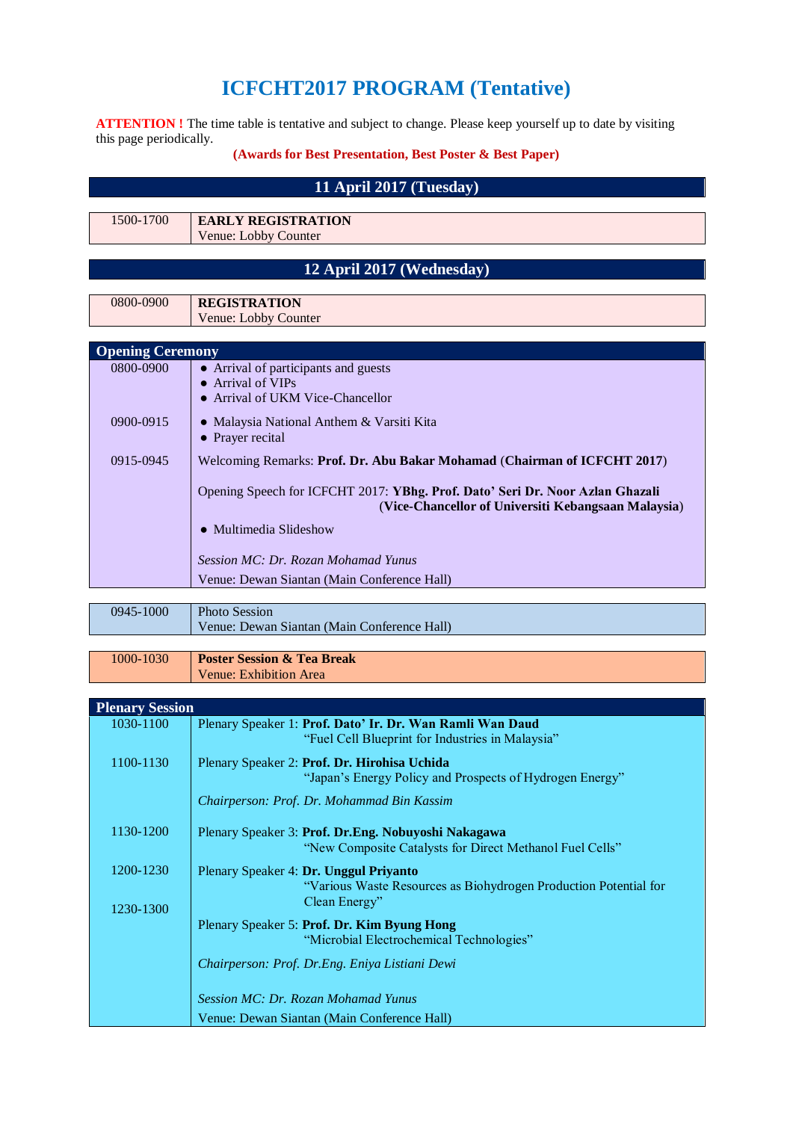# **ICFCHT2017 PROGRAM (Tentative)**

**ATTENTION !** The time table is tentative and subject to change. Please keep yourself up to date by visiting this page periodically.

#### **(Awards for Best Presentation, Best Poster & Best Paper)**

### **11 April 2017 (Tuesday)**

| 1700<br>500-1 | <b>EARLY REGISTRATION</b> |
|---------------|---------------------------|
|               | Venue: Lobby Counter      |
|               |                           |

## **12 April 2017 (Wednesday)**

| 0800-0900 | <b>REGISTRATION</b>  |  |
|-----------|----------------------|--|
|           | Venue: Lobby Counter |  |

| <b>Opening Ceremony</b> |                                                                                                                                      |
|-------------------------|--------------------------------------------------------------------------------------------------------------------------------------|
| 0800-0900               | • Arrival of participants and guests                                                                                                 |
|                         | $\bullet$ Arrival of VIPs                                                                                                            |
|                         | • Arrival of UKM Vice-Chancellor                                                                                                     |
| 0900-0915               | • Malaysia National Anthem & Varsiti Kita                                                                                            |
|                         | • Prayer recital                                                                                                                     |
| 0915-0945               | Welcoming Remarks: Prof. Dr. Abu Bakar Mohamad (Chairman of ICFCHT 2017)                                                             |
|                         | Opening Speech for ICFCHT 2017: YBhg. Prof. Dato' Seri Dr. Noor Azlan Ghazali<br>(Vice-Chancellor of Universiti Kebangsaan Malaysia) |
|                         | $\bullet$ Multimedia Slideshow                                                                                                       |
|                         | Session MC: Dr. Rozan Mohamad Yunus                                                                                                  |
|                         | Venue: Dewan Siantan (Main Conference Hall)                                                                                          |

| 0945-1000 | <b>Photo Session</b><br>Venue: Dewan Siantan (Main Conference Hall) |
|-----------|---------------------------------------------------------------------|
|           |                                                                     |

#### 1000-1030 **Poster Session & Tea Break** Venue: Exhibition Area

| <b>Plenary Session</b> |                                                                                                                             |  |  |  |
|------------------------|-----------------------------------------------------------------------------------------------------------------------------|--|--|--|
| 1030-1100              | Plenary Speaker 1: Prof. Dato' Ir. Dr. Wan Ramli Wan Daud<br>"Fuel Cell Blueprint for Industries in Malaysia"               |  |  |  |
| 1100-1130              | Plenary Speaker 2: Prof. Dr. Hirohisa Uchida<br>"Japan's Energy Policy and Prospects of Hydrogen Energy"                    |  |  |  |
|                        | Chairperson: Prof. Dr. Mohammad Bin Kassim                                                                                  |  |  |  |
| 1130-1200              | Plenary Speaker 3: Prof. Dr.Eng. Nobuyoshi Nakagawa<br>"New Composite Catalysts for Direct Methanol Fuel Cells"             |  |  |  |
| 1200-1230              | Plenary Speaker 4: Dr. Unggul Priyanto<br>"Various Waste Resources as Biohydrogen Production Potential for<br>Clean Energy" |  |  |  |
| 1230-1300              | Plenary Speaker 5: Prof. Dr. Kim Byung Hong<br>"Microbial Electrochemical Technologies"                                     |  |  |  |
|                        | Chairperson: Prof. Dr.Eng. Eniya Listiani Dewi                                                                              |  |  |  |
|                        | Session MC: Dr. Rozan Mohamad Yunus                                                                                         |  |  |  |
|                        | Venue: Dewan Siantan (Main Conference Hall)                                                                                 |  |  |  |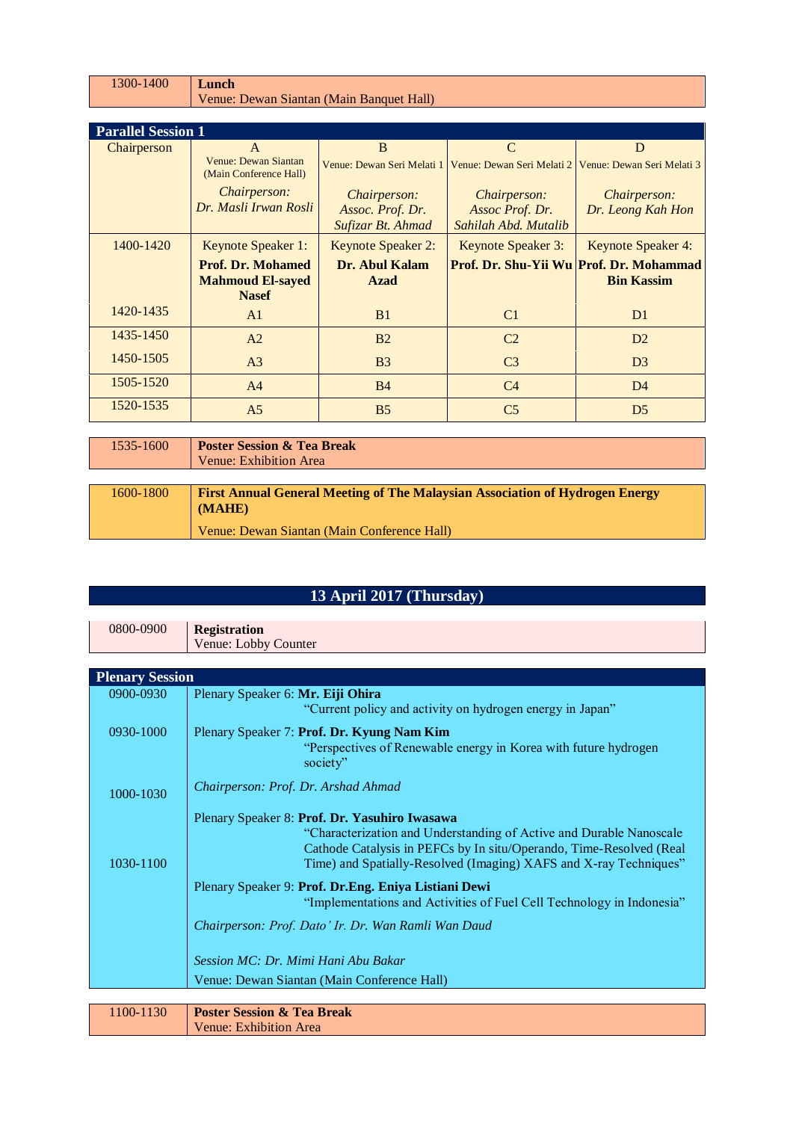| $1300-1400$ Lunch |                                          |
|-------------------|------------------------------------------|
|                   | Venue: Dewan Siantan (Main Banquet Hall) |

Г

| <b>Parallel Session 1</b> |                                                |                            |                           |                                                         |  |
|---------------------------|------------------------------------------------|----------------------------|---------------------------|---------------------------------------------------------|--|
| Chairperson               | $\mathsf{A}$                                   | <sub>B</sub>               | C                         | D                                                       |  |
|                           | Venue: Dewan Siantan<br>(Main Conference Hall) | Venue: Dewan Seri Melati 1 |                           | Venue: Dewan Seri Melati 2   Venue: Dewan Seri Melati 3 |  |
|                           | Chairperson:                                   | <i>Chairperson:</i>        | <i>Chairperson:</i>       | <i>Chairperson:</i>                                     |  |
|                           | Dr. Masli Irwan Rosli                          | Assoc. Prof. Dr.           | Assoc Prof. Dr.           | Dr. Leong Kah Hon                                       |  |
|                           |                                                | Sufizar Bt. Ahmad          | Sahilah Abd. Mutalib      |                                                         |  |
| 1400-1420                 | Keynote Speaker 1:                             | <b>Keynote Speaker 2:</b>  | <b>Keynote Speaker 3:</b> | <b>Keynote Speaker 4:</b>                               |  |
|                           | <b>Prof. Dr. Mohamed</b>                       | Dr. Abul Kalam             |                           | Prof. Dr. Shu-Yii Wu Prof. Dr. Mohammad                 |  |
|                           | <b>Mahmoud El-sayed</b>                        | <b>Azad</b>                |                           | <b>Bin Kassim</b>                                       |  |
|                           | <b>Nasef</b>                                   |                            |                           |                                                         |  |
| 1420-1435                 | A <sup>1</sup>                                 | B <sub>1</sub>             | C <sub>1</sub>            | D <sub>1</sub>                                          |  |
| 1435-1450                 | A <sub>2</sub>                                 | B <sub>2</sub>             | C <sub>2</sub>            | D2                                                      |  |
| 1450-1505                 | A <sub>3</sub>                                 | B <sub>3</sub>             | C <sub>3</sub>            | D <sub>3</sub>                                          |  |
| 1505-1520                 | A <sup>4</sup>                                 | <b>B4</b>                  | C <sub>4</sub>            | D <sub>4</sub>                                          |  |
| 1520-1535                 | A <sub>5</sub>                                 | B <sub>5</sub>             | C <sub>5</sub>            | D <sub>5</sub>                                          |  |

| 1535-1600 | <b>Poster Session &amp; Tea Break</b><br>Venue: Exhibition Area                               |
|-----------|-----------------------------------------------------------------------------------------------|
| 1600-1800 | <b>First Annual General Meeting of The Malaysian Association of Hydrogen Energy</b><br>(MAHE) |
|           | Venue: Dewan Siantan (Main Conference Hall)                                                   |

## **13 April 2017 (Thursday)**

| 0800-0900              | <b>Registration</b><br>Venue: Lobby Counter                     |  |  |
|------------------------|-----------------------------------------------------------------|--|--|
|                        |                                                                 |  |  |
| <b>Plenary Session</b> |                                                                 |  |  |
| 0900-0930              | Plenary Speaker 6: Mr. Eiji Ohira                               |  |  |
|                        | "Current policy and activity on hydrogen energy in Japan"       |  |  |
| 0930-1000              | Plenary Speaker 7: Prof. Dr. Kyung Nam Kim                      |  |  |
|                        | "Perspectives of Renewable energy in Korea with future hydrogen |  |  |
|                        | society"                                                        |  |  |

| 1000-1030 | Chairperson: Prof. Dr. Arshad Ahmad                                                                                                                                                                                                                              |
|-----------|------------------------------------------------------------------------------------------------------------------------------------------------------------------------------------------------------------------------------------------------------------------|
| 1030-1100 | Plenary Speaker 8: Prof. Dr. Yasuhiro Iwasawa<br>"Characterization and Understanding of Active and Durable Nanoscale<br>Cathode Catalysis in PEFCs by In situ/Operando, Time-Resolved (Real<br>Time) and Spatially-Resolved (Imaging) XAFS and X-ray Techniques" |
|           | Plenary Speaker 9: Prof. Dr. Eng. Eniya Listiani Dewi<br>"Implementations and Activities of Fuel Cell Technology in Indonesia"                                                                                                                                   |
|           | Chairperson: Prof. Dato' Ir. Dr. Wan Ramli Wan Daud                                                                                                                                                                                                              |
|           | Session MC: Dr. Mimi Hani Abu Bakar                                                                                                                                                                                                                              |
|           | Venue: Dewan Siantan (Main Conference Hall)                                                                                                                                                                                                                      |
|           |                                                                                                                                                                                                                                                                  |

| $.100 - 1130$ | <b>Poster Session &amp; Tea Break</b> |
|---------------|---------------------------------------|
|               | Venue: Exhibition Area                |